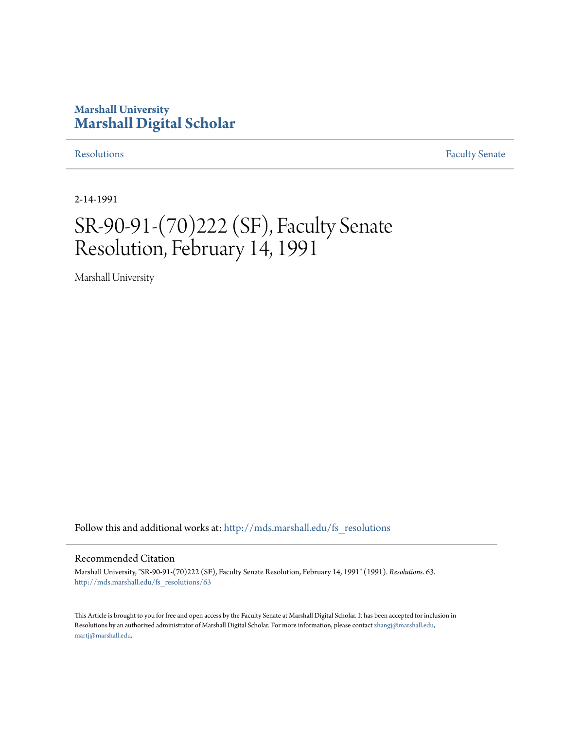### **Marshall University [Marshall Digital Scholar](http://mds.marshall.edu?utm_source=mds.marshall.edu%2Ffs_resolutions%2F63&utm_medium=PDF&utm_campaign=PDFCoverPages)**

[Resolutions](http://mds.marshall.edu/fs_resolutions?utm_source=mds.marshall.edu%2Ffs_resolutions%2F63&utm_medium=PDF&utm_campaign=PDFCoverPages) [Faculty Senate](http://mds.marshall.edu/fs?utm_source=mds.marshall.edu%2Ffs_resolutions%2F63&utm_medium=PDF&utm_campaign=PDFCoverPages)

2-14-1991

# SR-90-91-(70)222 (SF), Faculty Senate Resolution, February 14, 1991

Marshall University

Follow this and additional works at: [http://mds.marshall.edu/fs\\_resolutions](http://mds.marshall.edu/fs_resolutions?utm_source=mds.marshall.edu%2Ffs_resolutions%2F63&utm_medium=PDF&utm_campaign=PDFCoverPages)

#### Recommended Citation

Marshall University, "SR-90-91-(70)222 (SF), Faculty Senate Resolution, February 14, 1991" (1991). *Resolutions*. 63. [http://mds.marshall.edu/fs\\_resolutions/63](http://mds.marshall.edu/fs_resolutions/63?utm_source=mds.marshall.edu%2Ffs_resolutions%2F63&utm_medium=PDF&utm_campaign=PDFCoverPages)

This Article is brought to you for free and open access by the Faculty Senate at Marshall Digital Scholar. It has been accepted for inclusion in Resolutions by an authorized administrator of Marshall Digital Scholar. For more information, please contact [zhangj@marshall.edu,](mailto:zhangj@marshall.edu,%20martj@marshall.edu) [martj@marshall.edu](mailto:zhangj@marshall.edu,%20martj@marshall.edu).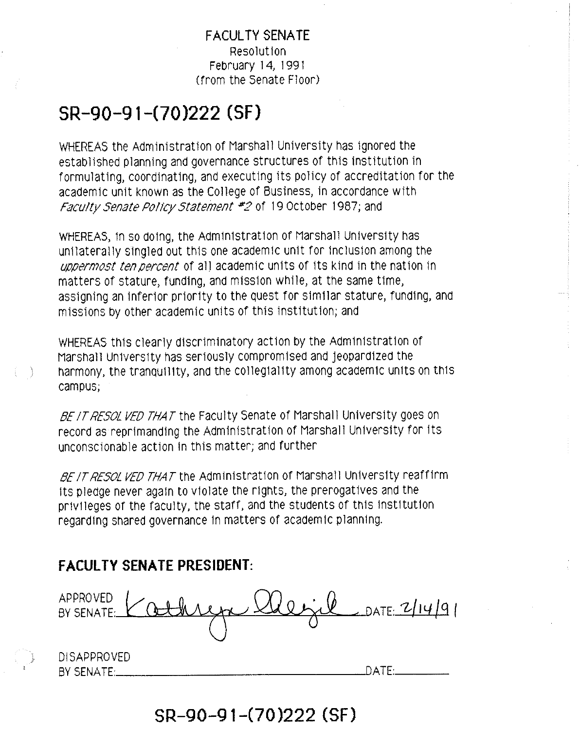#### **FACULTY SENA TE**  Resolution February 14, 1991 (from the Senate Floor)

## **SR-90-91-(70 )222 (SF)**

WHEREAS the Administration of Marshall University has ignored the established planning and governance structures of this institution in formulating, coordinating, and executing its policy of accreditation for the academic unit known as the College of Business, in accordance with Faculty Senate Policy Statement #2 of 19 October 1987; and

WHEREAS, in so doing, the Administration of Marshall University has unilaterally singled out this one academic unit for inclusion among the *uppermast ten percent* of all academic units of its kind in the nation in matters of stature, funding, and mission while, at the same time, assigning an inferior priority to the quest for similar stature, funding, and missions by other academic units of this institution; and

WHEREAS this clearly discriminatory action by the Administration of Marshall University has seriously compromised and jeopardized the harmony, the tranqui11ty, and the collegial1ty among academic units on th1s campus;

BE IT RESOL VED THAT the Faculty Senate of Marshall University goes on record as reprimanding the Administration of Marshall University for its unconscionable action in this matter; and further

BE IT RESOL VED THAT the Administration of Marshall University reaffirm Its pledge never again to violate the rights, the prerogatives and the privileges of the faculty, the staff, and the students of this institution regarding shared governance in matters of academic planning.

### **FACULTY SENATE PRESIDENT:**

FACULTY SENATE PRESIDENT:<br>APPROVED<br>BY SENATE: <u>Kathragn Merid</u> BY SENATE:  $\bigcup_{\alpha}$  althree  $\bigcup_{\alpha}$  (althree  $\bigcup_{\alpha}$   $\bigcup_{\alpha}$   $\bigcup_{\alpha}$   $\bigcup_{\alpha}$   $\bigcup_{\alpha}$   $\bigcup_{\alpha}$   $\bigcup_{\alpha}$   $\bigcup_{\alpha}$   $\bigcup_{\alpha}$   $\bigcup_{\alpha}$   $\bigcup_{\alpha}$   $\bigcup_{\alpha}$   $\bigcup_{\alpha}$   $\bigcup_{\alpha}$   $\bigcup_{\alpha}$   $\bigcup_{\alpha}$   $\bigcup_{\alpha}$   $\big$ DISAPPROVED BY SENATE: \_\_\_\_\_\_\_\_\_\_\_\_\_\_ \_..LJATE\_· \_\_ \_

**SR-90-91-(70)222 (SF)**